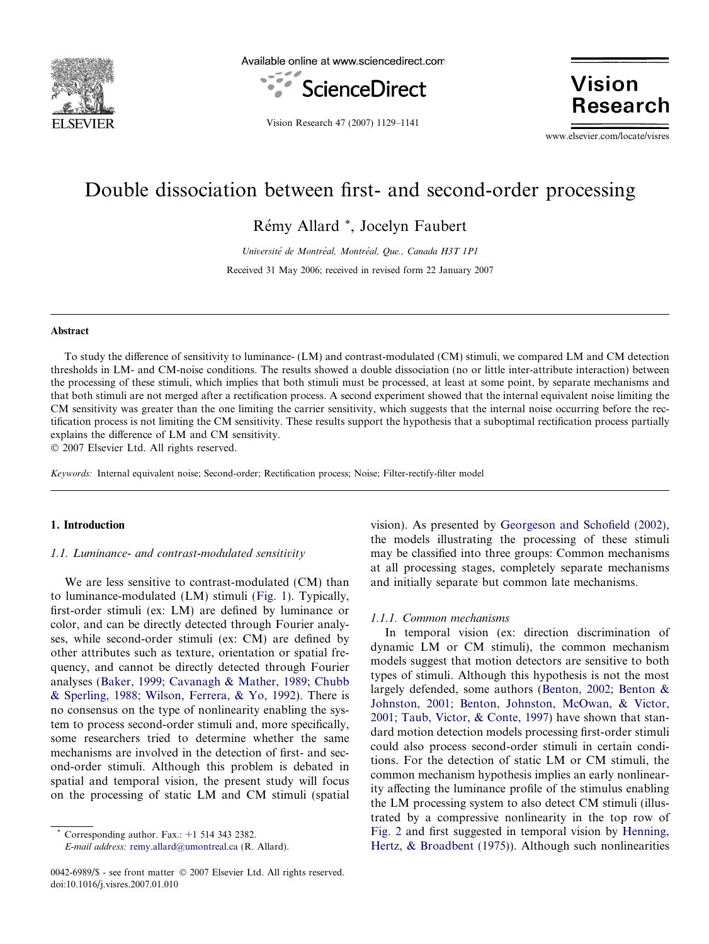

Available online at www.sciencedirect.com



**Vision Research** 

Vision Research 47 (2007) 1129–1141

www.elsevier.com/locate/visres

# Double dissociation between first- and second-order processing

Rémy Allard \*, Jocelyn Faubert

Université de Montréal, Montréal, Que., Canada H3T 1P1

Received 31 May 2006; received in revised form 22 January 2007

#### Abstract

To study the difference of sensitivity to luminance- (LM) and contrast-modulated (CM) stimuli, we compared LM and CM detection thresholds in LM- and CM-noise conditions. The results showed a double dissociation (no or little inter-attribute interaction) between the processing of these stimuli, which implies that both stimuli must be processed, at least at some point, by separate mechanisms and that both stimuli are not merged after a rectification process. A second experiment showed that the internal equivalent noise limiting the CM sensitivity was greater than the one limiting the carrier sensitivity, which suggests that the internal noise occurring before the rectification process is not limiting the CM sensitivity. These results support the hypothesis that a suboptimal rectification process partially explains the difference of LM and CM sensitivity.

 $© 2007 Elsevier Ltd. All rights reserved.$ 

Keywords: Internal equivalent noise; Second-order; Rectification process; Noise; Filter-rectify-filter model

## 1. Introduction

## 1.1. Luminance- and contrast-modulated sensitivity

We are less sensitive to contrast-modulated (CM) than to luminance-modulated (LM) stimuli [\(Fig. 1](#page-1-0)). Typically, first-order stimuli (ex: LM) are defined by luminance or color, and can be directly detected through Fourier analyses, while second-order stimuli (ex: CM) are defined by other attributes such as texture, orientation or spatial frequency, and cannot be directly detected through Fourier analyses ([Baker, 1999; Cavanagh & Mather, 1989; Chubb](#page-11-0) [& Sperling, 1988; Wilson, Ferrera, & Yo, 1992\)](#page-11-0). There is no consensus on the type of nonlinearity enabling the system to process second-order stimuli and, more specifically, some researchers tried to determine whether the same mechanisms are involved in the detection of first- and second-order stimuli. Although this problem is debated in spatial and temporal vision, the present study will focus on the processing of static LM and CM stimuli (spatial

E-mail address: [remy.allard@umontreal.ca](mailto:remy.allard@umontreal.ca) (R. Allard).

vision). As presented by [Georgeson and Schofield \(2002\),](#page-11-0) the models illustrating the processing of these stimuli may be classified into three groups: Common mechanisms at all processing stages, completely separate mechanisms and initially separate but common late mechanisms.

# 1.1.1. Common mechanisms

In temporal vision (ex: direction discrimination of dynamic LM or CM stimuli), the common mechanism models suggest that motion detectors are sensitive to both types of stimuli. Although this hypothesis is not the most largely defended, some authors [\(Benton, 2002; Benton &](#page-11-0) [Johnston, 2001; Benton, Johnston, McOwan, & Victor,](#page-11-0) [2001; Taub, Victor, & Conte, 1997](#page-11-0)) have shown that standard motion detection models processing first-order stimuli could also process second-order stimuli in certain conditions. For the detection of static LM or CM stimuli, the common mechanism hypothesis implies an early nonlinearity affecting the luminance profile of the stimulus enabling the LM processing system to also detect CM stimuli (illustrated by a compressive nonlinearity in the top row of [Fig. 2](#page-1-0) and first suggested in temporal vision by [Henning,](#page-11-0) [Hertz, & Broadbent \(1975\)](#page-11-0)). Although such nonlinearities

Corresponding author. Fax.:  $+1$  514 343 2382.

<sup>0042-6989/\$ -</sup> see front matter © 2007 Elsevier Ltd. All rights reserved. doi:10.1016/j.visres.2007.01.010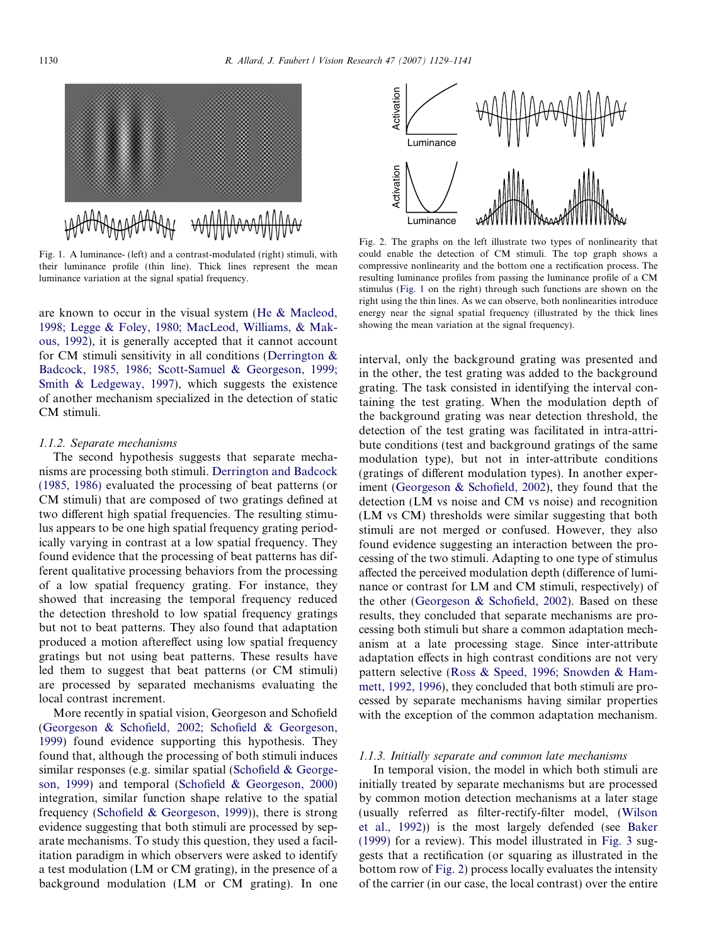<span id="page-1-0"></span>

Fig. 1. A luminance- (left) and a contrast-modulated (right) stimuli, with their luminance profile (thin line). Thick lines represent the mean luminance variation at the signal spatial frequency.

are known to occur in the visual system ([He & Macleod,](#page-11-0) [1998; Legge & Foley, 1980; MacLeod, Williams, & Mak](#page-11-0)[ous, 1992\)](#page-11-0), it is generally accepted that it cannot account for CM stimuli sensitivity in all conditions ([Derrington &](#page-11-0) [Badcock, 1985, 1986; Scott-Samuel & Georgeson, 1999;](#page-11-0) [Smith & Ledgeway, 1997](#page-11-0)), which suggests the existence of another mechanism specialized in the detection of static CM stimuli.

#### 1.1.2. Separate mechanisms

The second hypothesis suggests that separate mechanisms are processing both stimuli. [Derrington and Badcock](#page-11-0) [\(1985, 1986\)](#page-11-0) evaluated the processing of beat patterns (or CM stimuli) that are composed of two gratings defined at two different high spatial frequencies. The resulting stimulus appears to be one high spatial frequency grating periodically varying in contrast at a low spatial frequency. They found evidence that the processing of beat patterns has different qualitative processing behaviors from the processing of a low spatial frequency grating. For instance, they showed that increasing the temporal frequency reduced the detection threshold to low spatial frequency gratings but not to beat patterns. They also found that adaptation produced a motion aftereffect using low spatial frequency gratings but not using beat patterns. These results have led them to suggest that beat patterns (or CM stimuli) are processed by separated mechanisms evaluating the local contrast increment.

More recently in spatial vision, Georgeson and Schofield [\(Georgeson & Schofield, 2002; Schofield & Georgeson,](#page-11-0) [1999\)](#page-11-0) found evidence supporting this hypothesis. They found that, although the processing of both stimuli induces similar responses (e.g. similar spatial [\(Schofield & George](#page-11-0)[son, 1999](#page-11-0)) and temporal ([Schofield & Georgeson, 2000](#page-11-0)) integration, similar function shape relative to the spatial frequency ([Schofield & Georgeson, 1999](#page-11-0))), there is strong evidence suggesting that both stimuli are processed by separate mechanisms. To study this question, they used a facilitation paradigm in which observers were asked to identify a test modulation (LM or CM grating), in the presence of a background modulation (LM or CM grating). In one



Fig. 2. The graphs on the left illustrate two types of nonlinearity that could enable the detection of CM stimuli. The top graph shows a compressive nonlinearity and the bottom one a rectification process. The resulting luminance profiles from passing the luminance profile of a CM stimulus (Fig. 1 on the right) through such functions are shown on the right using the thin lines. As we can observe, both nonlinearities introduce energy near the signal spatial frequency (illustrated by the thick lines showing the mean variation at the signal frequency).

interval, only the background grating was presented and in the other, the test grating was added to the background grating. The task consisted in identifying the interval containing the test grating. When the modulation depth of the background grating was near detection threshold, the detection of the test grating was facilitated in intra-attribute conditions (test and background gratings of the same modulation type), but not in inter-attribute conditions (gratings of different modulation types). In another experiment ([Georgeson & Schofield, 2002\)](#page-11-0), they found that the detection (LM vs noise and CM vs noise) and recognition (LM vs CM) thresholds were similar suggesting that both stimuli are not merged or confused. However, they also found evidence suggesting an interaction between the processing of the two stimuli. Adapting to one type of stimulus affected the perceived modulation depth (difference of luminance or contrast for LM and CM stimuli, respectively) of the other ([Georgeson & Schofield, 2002\)](#page-11-0). Based on these results, they concluded that separate mechanisms are processing both stimuli but share a common adaptation mechanism at a late processing stage. Since inter-attribute adaptation effects in high contrast conditions are not very pattern selective ([Ross & Speed, 1996; Snowden & Ham](#page-11-0)[mett, 1992, 1996](#page-11-0)), they concluded that both stimuli are processed by separate mechanisms having similar properties with the exception of the common adaptation mechanism.

## 1.1.3. Initially separate and common late mechanisms

In temporal vision, the model in which both stimuli are initially treated by separate mechanisms but are processed by common motion detection mechanisms at a later stage (usually referred as filter-rectify-filter model, ([Wilson](#page-12-0) [et al., 1992\)](#page-12-0)) is the most largely defended (see [Baker](#page-11-0) [\(1999\)](#page-11-0) for a review). This model illustrated in [Fig. 3](#page-2-0) suggests that a rectification (or squaring as illustrated in the bottom row of Fig. 2) process locally evaluates the intensity of the carrier (in our case, the local contrast) over the entire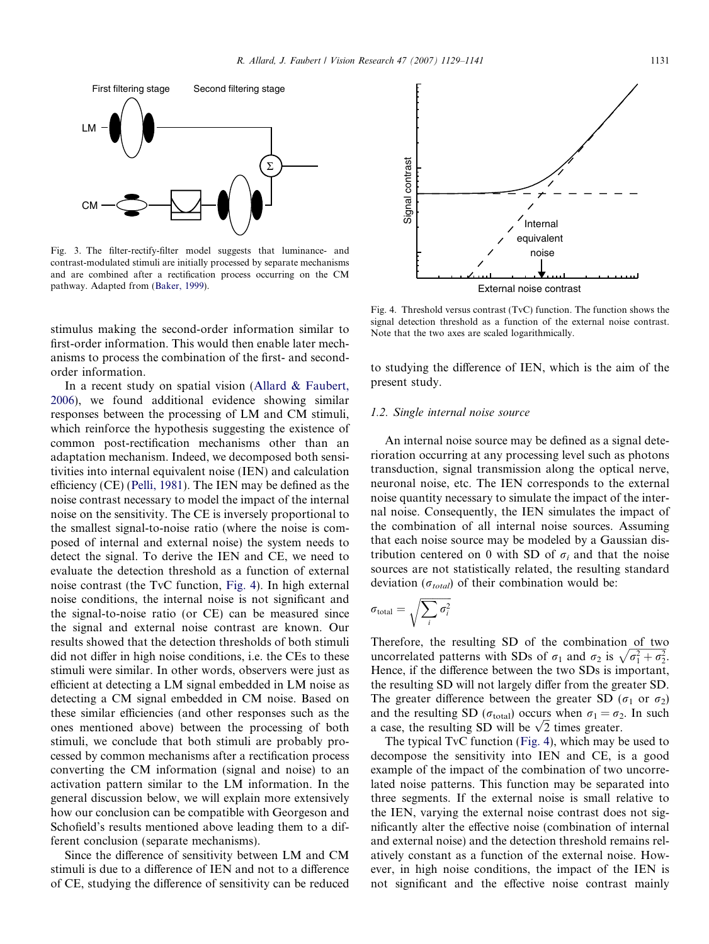

Fig. 3. The filter-rectify-filter model suggests that luminance- and contrast-modulated stimuli are initially processed by separate mechanisms and are combined after a rectification process occurring on the CM

stimulus making the second-order information similar to first-order information. This would then enable later mechanisms to process the combination of the first- and secondorder information.

In a recent study on spatial vision ([Allard & Faubert,](#page-11-0) [2006](#page-11-0)), we found additional evidence showing similar responses between the processing of LM and CM stimuli, which reinforce the hypothesis suggesting the existence of common post-rectification mechanisms other than an adaptation mechanism. Indeed, we decomposed both sensitivities into internal equivalent noise (IEN) and calculation efficiency (CE) [\(Pelli, 1981\)](#page-11-0). The IEN may be defined as the noise contrast necessary to model the impact of the internal noise on the sensitivity. The CE is inversely proportional to the smallest signal-to-noise ratio (where the noise is composed of internal and external noise) the system needs to detect the signal. To derive the IEN and CE, we need to evaluate the detection threshold as a function of external noise contrast (the TvC function, Fig. 4). In high external noise conditions, the internal noise is not significant and the signal-to-noise ratio (or CE) can be measured since the signal and external noise contrast are known. Our results showed that the detection thresholds of both stimuli did not differ in high noise conditions, i.e. the CEs to these stimuli were similar. In other words, observers were just as efficient at detecting a LM signal embedded in LM noise as detecting a CM signal embedded in CM noise. Based on these similar efficiencies (and other responses such as the ones mentioned above) between the processing of both stimuli, we conclude that both stimuli are probably processed by common mechanisms after a rectification process converting the CM information (signal and noise) to an activation pattern similar to the LM information. In the general discussion below, we will explain more extensively how our conclusion can be compatible with Georgeson and Schofield's results mentioned above leading them to a different conclusion (separate mechanisms).

Since the difference of sensitivity between LM and CM stimuli is due to a difference of IEN and not to a difference of CE, studying the difference of sensitivity can be reduced

<span id="page-2-0"></span>

Fig. 4. Threshold versus contrast (TvC) function. The function shows the signal detection threshold as a function of the external noise contrast. Note that the two axes are scaled logarithmically.

to studying the difference of IEN, which is the aim of the present study.

## 1.2. Single internal noise source

An internal noise source may be defined as a signal deterioration occurring at any processing level such as photons transduction, signal transmission along the optical nerve, neuronal noise, etc. The IEN corresponds to the external noise quantity necessary to simulate the impact of the internal noise. Consequently, the IEN simulates the impact of the combination of all internal noise sources. Assuming that each noise source may be modeled by a Gaussian distribution centered on 0 with SD of  $\sigma_i$  and that the noise sources are not statistically related, the resulting standard deviation ( $\sigma_{total}$ ) of their combination would be:

$$
\sigma_{\text{total}} = \sqrt{\sum_{i} \sigma_i^2}
$$

Therefore, the resulting SD of the combination of two uncorrelated patterns with SDs of  $\sigma_1$  and  $\sigma_2$  is  $\sqrt{\sigma_1^2 + \sigma_2^2}$ . Hence, if the difference between the two SDs is important, the resulting SD will not largely differ from the greater SD. The greater difference between the greater SD ( $\sigma_1$  or  $\sigma_2$ ) and the resulting SD ( $\sigma_{\text{total}}$ ) occurs when  $\sigma_1 = \sigma_2$ . In such and the resulting SD ( $\sigma_{\text{total}}$ ) occurs when  $\sigma_1 = \sigma_2$ <br>a case, the resulting SD will be  $\sqrt{2}$  times greater.

The typical TvC function (Fig. 4), which may be used to decompose the sensitivity into IEN and CE, is a good example of the impact of the combination of two uncorrelated noise patterns. This function may be separated into three segments. If the external noise is small relative to the IEN, varying the external noise contrast does not significantly alter the effective noise (combination of internal and external noise) and the detection threshold remains relatively constant as a function of the external noise. However, in high noise conditions, the impact of the IEN is not significant and the effective noise contrast mainly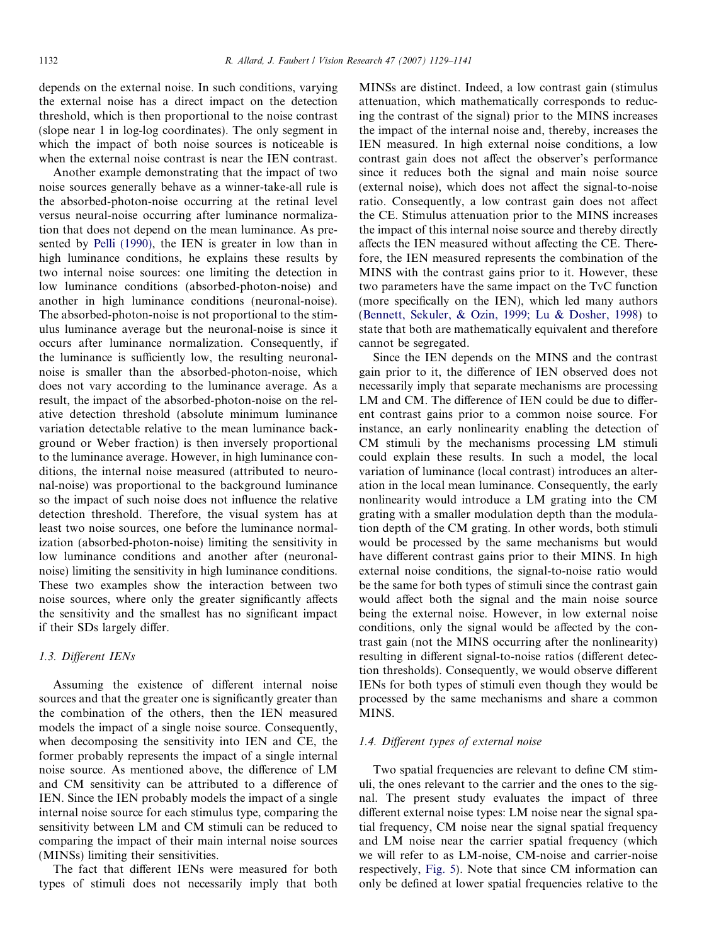depends on the external noise. In such conditions, varying the external noise has a direct impact on the detection threshold, which is then proportional to the noise contrast (slope near 1 in log-log coordinates). The only segment in which the impact of both noise sources is noticeable is when the external noise contrast is near the IEN contrast.

Another example demonstrating that the impact of two noise sources generally behave as a winner-take-all rule is the absorbed-photon-noise occurring at the retinal level versus neural-noise occurring after luminance normalization that does not depend on the mean luminance. As presented by [Pelli \(1990\),](#page-11-0) the IEN is greater in low than in high luminance conditions, he explains these results by two internal noise sources: one limiting the detection in low luminance conditions (absorbed-photon-noise) and another in high luminance conditions (neuronal-noise). The absorbed-photon-noise is not proportional to the stimulus luminance average but the neuronal-noise is since it occurs after luminance normalization. Consequently, if the luminance is sufficiently low, the resulting neuronalnoise is smaller than the absorbed-photon-noise, which does not vary according to the luminance average. As a result, the impact of the absorbed-photon-noise on the relative detection threshold (absolute minimum luminance variation detectable relative to the mean luminance background or Weber fraction) is then inversely proportional to the luminance average. However, in high luminance conditions, the internal noise measured (attributed to neuronal-noise) was proportional to the background luminance so the impact of such noise does not influence the relative detection threshold. Therefore, the visual system has at least two noise sources, one before the luminance normalization (absorbed-photon-noise) limiting the sensitivity in low luminance conditions and another after (neuronalnoise) limiting the sensitivity in high luminance conditions. These two examples show the interaction between two noise sources, where only the greater significantly affects the sensitivity and the smallest has no significant impact if their SDs largely differ.

# 1.3. Different IENs

Assuming the existence of different internal noise sources and that the greater one is significantly greater than the combination of the others, then the IEN measured models the impact of a single noise source. Consequently, when decomposing the sensitivity into IEN and CE, the former probably represents the impact of a single internal noise source. As mentioned above, the difference of LM and CM sensitivity can be attributed to a difference of IEN. Since the IEN probably models the impact of a single internal noise source for each stimulus type, comparing the sensitivity between LM and CM stimuli can be reduced to comparing the impact of their main internal noise sources (MINSs) limiting their sensitivities.

The fact that different IENs were measured for both types of stimuli does not necessarily imply that both MINSs are distinct. Indeed, a low contrast gain (stimulus attenuation, which mathematically corresponds to reducing the contrast of the signal) prior to the MINS increases the impact of the internal noise and, thereby, increases the IEN measured. In high external noise conditions, a low contrast gain does not affect the observer's performance since it reduces both the signal and main noise source (external noise), which does not affect the signal-to-noise ratio. Consequently, a low contrast gain does not affect the CE. Stimulus attenuation prior to the MINS increases the impact of this internal noise source and thereby directly affects the IEN measured without affecting the CE. Therefore, the IEN measured represents the combination of the MINS with the contrast gains prior to it. However, these two parameters have the same impact on the TvC function (more specifically on the IEN), which led many authors [\(Bennett, Sekuler, & Ozin, 1999; Lu & Dosher, 1998](#page-11-0)) to state that both are mathematically equivalent and therefore cannot be segregated.

Since the IEN depends on the MINS and the contrast gain prior to it, the difference of IEN observed does not necessarily imply that separate mechanisms are processing LM and CM. The difference of IEN could be due to different contrast gains prior to a common noise source. For instance, an early nonlinearity enabling the detection of CM stimuli by the mechanisms processing LM stimuli could explain these results. In such a model, the local variation of luminance (local contrast) introduces an alteration in the local mean luminance. Consequently, the early nonlinearity would introduce a LM grating into the CM grating with a smaller modulation depth than the modulation depth of the CM grating. In other words, both stimuli would be processed by the same mechanisms but would have different contrast gains prior to their MINS. In high external noise conditions, the signal-to-noise ratio would be the same for both types of stimuli since the contrast gain would affect both the signal and the main noise source being the external noise. However, in low external noise conditions, only the signal would be affected by the contrast gain (not the MINS occurring after the nonlinearity) resulting in different signal-to-noise ratios (different detection thresholds). Consequently, we would observe different IENs for both types of stimuli even though they would be processed by the same mechanisms and share a common MINS.

## 1.4. Different types of external noise

Two spatial frequencies are relevant to define CM stimuli, the ones relevant to the carrier and the ones to the signal. The present study evaluates the impact of three different external noise types: LM noise near the signal spatial frequency, CM noise near the signal spatial frequency and LM noise near the carrier spatial frequency (which we will refer to as LM-noise, CM-noise and carrier-noise respectively, [Fig. 5\)](#page-4-0). Note that since CM information can only be defined at lower spatial frequencies relative to the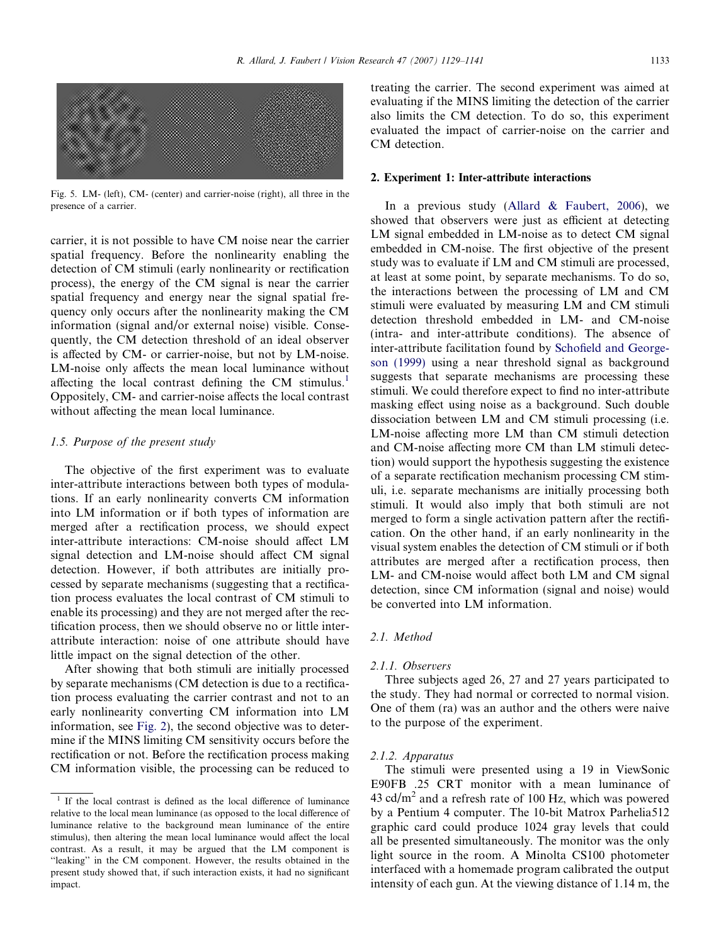<span id="page-4-0"></span>

Fig. 5. LM- (left), CM- (center) and carrier-noise (right), all three in the presence of a carrier.

carrier, it is not possible to have CM noise near the carrier spatial frequency. Before the nonlinearity enabling the detection of CM stimuli (early nonlinearity or rectification process), the energy of the CM signal is near the carrier spatial frequency and energy near the signal spatial frequency only occurs after the nonlinearity making the CM information (signal and/or external noise) visible. Consequently, the CM detection threshold of an ideal observer is affected by CM- or carrier-noise, but not by LM-noise. LM-noise only affects the mean local luminance without affecting the local contrast defining the CM stimulus.<sup>1</sup> Oppositely, CM- and carrier-noise affects the local contrast without affecting the mean local luminance.

# 1.5. Purpose of the present study

The objective of the first experiment was to evaluate inter-attribute interactions between both types of modulations. If an early nonlinearity converts CM information into LM information or if both types of information are merged after a rectification process, we should expect inter-attribute interactions: CM-noise should affect LM signal detection and LM-noise should affect CM signal detection. However, if both attributes are initially processed by separate mechanisms (suggesting that a rectification process evaluates the local contrast of CM stimuli to enable its processing) and they are not merged after the rectification process, then we should observe no or little interattribute interaction: noise of one attribute should have little impact on the signal detection of the other.

After showing that both stimuli are initially processed by separate mechanisms (CM detection is due to a rectification process evaluating the carrier contrast and not to an early nonlinearity converting CM information into LM information, see [Fig. 2\)](#page-1-0), the second objective was to determine if the MINS limiting CM sensitivity occurs before the rectification or not. Before the rectification process making CM information visible, the processing can be reduced to treating the carrier. The second experiment was aimed at evaluating if the MINS limiting the detection of the carrier also limits the CM detection. To do so, this experiment evaluated the impact of carrier-noise on the carrier and CM detection.

#### 2. Experiment 1: Inter-attribute interactions

In a previous study ([Allard & Faubert, 2006](#page-11-0)), we showed that observers were just as efficient at detecting LM signal embedded in LM-noise as to detect CM signal embedded in CM-noise. The first objective of the present study was to evaluate if LM and CM stimuli are processed, at least at some point, by separate mechanisms. To do so, the interactions between the processing of LM and CM stimuli were evaluated by measuring LM and CM stimuli detection threshold embedded in LM- and CM-noise (intra- and inter-attribute conditions). The absence of inter-attribute facilitation found by [Schofield and George](#page-11-0)[son \(1999\)](#page-11-0) using a near threshold signal as background suggests that separate mechanisms are processing these stimuli. We could therefore expect to find no inter-attribute masking effect using noise as a background. Such double dissociation between LM and CM stimuli processing (i.e. LM-noise affecting more LM than CM stimuli detection and CM-noise affecting more CM than LM stimuli detection) would support the hypothesis suggesting the existence of a separate rectification mechanism processing CM stimuli, i.e. separate mechanisms are initially processing both stimuli. It would also imply that both stimuli are not merged to form a single activation pattern after the rectification. On the other hand, if an early nonlinearity in the visual system enables the detection of CM stimuli or if both attributes are merged after a rectification process, then LM- and CM-noise would affect both LM and CM signal detection, since CM information (signal and noise) would be converted into LM information.

# 2.1. Method

# 2.1.1. Observers

Three subjects aged 26, 27 and 27 years participated to the study. They had normal or corrected to normal vision. One of them (ra) was an author and the others were naive to the purpose of the experiment.

#### 2.1.2. Apparatus

The stimuli were presented using a 19 in ViewSonic E90FB .25 CRT monitor with a mean luminance of  $43 \text{ cd/m}^2$  and a refresh rate of 100 Hz, which was powered by a Pentium 4 computer. The 10-bit Matrox Parhelia512 graphic card could produce 1024 gray levels that could all be presented simultaneously. The monitor was the only light source in the room. A Minolta CS100 photometer interfaced with a homemade program calibrated the output intensity of each gun. At the viewing distance of 1.14 m, the

 $1$  If the local contrast is defined as the local difference of luminance relative to the local mean luminance (as opposed to the local difference of luminance relative to the background mean luminance of the entire stimulus), then altering the mean local luminance would affect the local contrast. As a result, it may be argued that the LM component is ''leaking'' in the CM component. However, the results obtained in the present study showed that, if such interaction exists, it had no significant impact.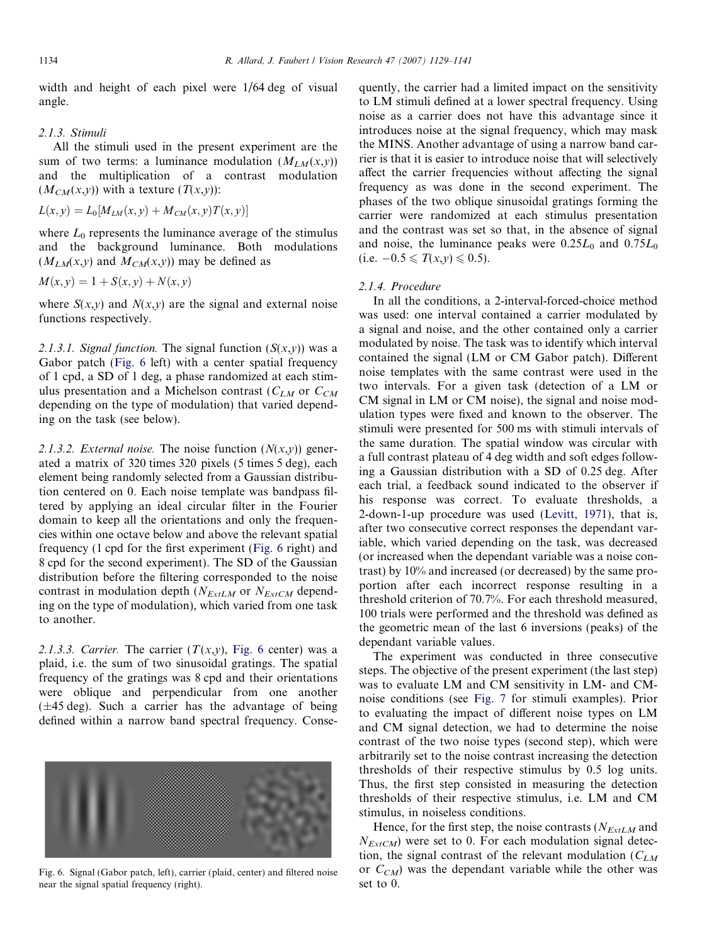width and height of each pixel were 1/64 deg of visual angle.

# 2.1.3. Stimuli

All the stimuli used in the present experiment are the sum of two terms: a luminance modulation  $(M_{LM}(x,y))$ and the multiplication of a contrast modulation  $(M_{CM}(x,y))$  with a texture  $(T(x,y))$ :

$$
L(x, y) = L_0[M_{LM}(x, y) + M_{CM}(x, y)T(x, y)]
$$

where  $L_0$  represents the luminance average of the stimulus and the background luminance. Both modulations  $(M_{LM}(x, y)$  and  $M_{CM}(x, y))$  may be defined as

$$
M(x, y) = 1 + S(x, y) + N(x, y)
$$

where  $S(x,y)$  and  $N(x,y)$  are the signal and external noise functions respectively.

2.1.3.1. Signal function. The signal function  $(S(x,y))$  was a Gabor patch (Fig. 6 left) with a center spatial frequency of 1 cpd, a SD of 1 deg, a phase randomized at each stimulus presentation and a Michelson contrast  $(C_{LM}$  or  $C_{CM}$ depending on the type of modulation) that varied depending on the task (see below).

2.1.3.2. External noise. The noise function  $(N(x,y))$  generated a matrix of 320 times 320 pixels (5 times 5 deg), each element being randomly selected from a Gaussian distribution centered on 0. Each noise template was bandpass filtered by applying an ideal circular filter in the Fourier domain to keep all the orientations and only the frequencies within one octave below and above the relevant spatial frequency (1 cpd for the first experiment (Fig. 6 right) and 8 cpd for the second experiment). The SD of the Gaussian distribution before the filtering corresponded to the noise contrast in modulation depth ( $N_{ExtLM}$  or  $N_{ExtCM}$  depending on the type of modulation), which varied from one task to another.

2.1.3.3. Carrier. The carrier  $(T(x,y),$  Fig. 6 center) was a plaid, i.e. the sum of two sinusoidal gratings. The spatial frequency of the gratings was 8 cpd and their orientations were oblique and perpendicular from one another  $(\pm 45 \text{ deg})$ . Such a carrier has the advantage of being defined within a narrow band spectral frequency. Conse-



Fig. 6. Signal (Gabor patch, left), carrier (plaid, center) and filtered noise near the signal spatial frequency (right).

quently, the carrier had a limited impact on the sensitivity to LM stimuli defined at a lower spectral frequency. Using noise as a carrier does not have this advantage since it introduces noise at the signal frequency, which may mask the MINS. Another advantage of using a narrow band carrier is that it is easier to introduce noise that will selectively affect the carrier frequencies without affecting the signal frequency as was done in the second experiment. The phases of the two oblique sinusoidal gratings forming the carrier were randomized at each stimulus presentation and the contrast was set so that, in the absence of signal and noise, the luminance peaks were  $0.25L_0$  and  $0.75L_0$ (i.e.  $-0.5 \leq T(x,y) \leq 0.5$ ).

# 2.1.4. Procedure

In all the conditions, a 2-interval-forced-choice method was used: one interval contained a carrier modulated by a signal and noise, and the other contained only a carrier modulated by noise. The task was to identify which interval contained the signal (LM or CM Gabor patch). Different noise templates with the same contrast were used in the two intervals. For a given task (detection of a LM or CM signal in LM or CM noise), the signal and noise modulation types were fixed and known to the observer. The stimuli were presented for 500 ms with stimuli intervals of the same duration. The spatial window was circular with a full contrast plateau of 4 deg width and soft edges following a Gaussian distribution with a SD of 0.25 deg. After each trial, a feedback sound indicated to the observer if his response was correct. To evaluate thresholds, a 2-down-1-up procedure was used ([Levitt, 1971](#page-11-0)), that is, after two consecutive correct responses the dependant variable, which varied depending on the task, was decreased (or increased when the dependant variable was a noise contrast) by 10% and increased (or decreased) by the same proportion after each incorrect response resulting in a threshold criterion of 70.7%. For each threshold measured, 100 trials were performed and the threshold was defined as the geometric mean of the last 6 inversions (peaks) of the dependant variable values.

The experiment was conducted in three consecutive steps. The objective of the present experiment (the last step) was to evaluate LM and CM sensitivity in LM- and CMnoise conditions (see [Fig. 7](#page-6-0) for stimuli examples). Prior to evaluating the impact of different noise types on LM and CM signal detection, we had to determine the noise contrast of the two noise types (second step), which were arbitrarily set to the noise contrast increasing the detection thresholds of their respective stimulus by 0.5 log units. Thus, the first step consisted in measuring the detection thresholds of their respective stimulus, i.e. LM and CM stimulus, in noiseless conditions.

Hence, for the first step, the noise contrasts ( $N_{ExtLM}$  and  $N_{ExtCM}$ ) were set to 0. For each modulation signal detection, the signal contrast of the relevant modulation  $(C_{LM}$ or  $C_{CM}$ ) was the dependant variable while the other was set to 0.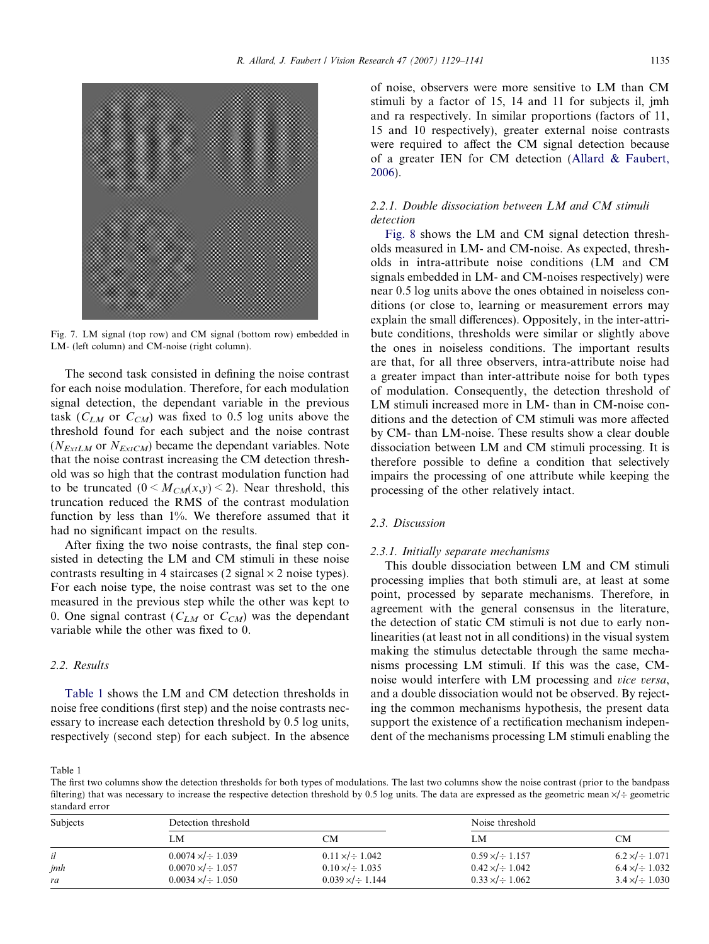<span id="page-6-0"></span>

Fig. 7. LM signal (top row) and CM signal (bottom row) embedded in LM- (left column) and CM-noise (right column).

The second task consisted in defining the noise contrast for each noise modulation. Therefore, for each modulation signal detection, the dependant variable in the previous task ( $C_{LM}$  or  $C_{CM}$ ) was fixed to 0.5 log units above the threshold found for each subject and the noise contrast  $(N_{ExtLM}$  or  $N_{ExtCM}$ ) became the dependant variables. Note that the noise contrast increasing the CM detection threshold was so high that the contrast modulation function had to be truncated  $(0 \leq M_{CM}(x, y) \leq 2)$ . Near threshold, this truncation reduced the RMS of the contrast modulation function by less than 1%. We therefore assumed that it had no significant impact on the results.

After fixing the two noise contrasts, the final step consisted in detecting the LM and CM stimuli in these noise contrasts resulting in 4 staircases (2 signal  $\times$  2 noise types). For each noise type, the noise contrast was set to the one measured in the previous step while the other was kept to 0. One signal contrast ( $C_{LM}$  or  $C_{CM}$ ) was the dependant variable while the other was fixed to 0.

# 2.2. Results

Table 1 shows the LM and CM detection thresholds in noise free conditions (first step) and the noise contrasts necessary to increase each detection threshold by 0.5 log units, respectively (second step) for each subject. In the absence of noise, observers were more sensitive to LM than CM stimuli by a factor of 15, 14 and 11 for subjects il, jmh and ra respectively. In similar proportions (factors of 11, 15 and 10 respectively), greater external noise contrasts were required to affect the CM signal detection because of a greater IEN for CM detection ([Allard & Faubert,](#page-11-0) [2006](#page-11-0)).

# 2.2.1. Double dissociation between LM and CM stimuli detection

[Fig. 8](#page-7-0) shows the LM and CM signal detection thresholds measured in LM- and CM-noise. As expected, thresholds in intra-attribute noise conditions (LM and CM signals embedded in LM- and CM-noises respectively) were near 0.5 log units above the ones obtained in noiseless conditions (or close to, learning or measurement errors may explain the small differences). Oppositely, in the inter-attribute conditions, thresholds were similar or slightly above the ones in noiseless conditions. The important results are that, for all three observers, intra-attribute noise had a greater impact than inter-attribute noise for both types of modulation. Consequently, the detection threshold of LM stimuli increased more in LM- than in CM-noise conditions and the detection of CM stimuli was more affected by CM- than LM-noise. These results show a clear double dissociation between LM and CM stimuli processing. It is therefore possible to define a condition that selectively impairs the processing of one attribute while keeping the processing of the other relatively intact.

# 2.3. Discussion

# 2.3.1. Initially separate mechanisms

This double dissociation between LM and CM stimuli processing implies that both stimuli are, at least at some point, processed by separate mechanisms. Therefore, in agreement with the general consensus in the literature, the detection of static CM stimuli is not due to early nonlinearities (at least not in all conditions) in the visual system making the stimulus detectable through the same mechanisms processing LM stimuli. If this was the case, CMnoise would interfere with LM processing and vice versa, and a double dissociation would not be observed. By rejecting the common mechanisms hypothesis, the present data support the existence of a rectification mechanism independent of the mechanisms processing LM stimuli enabling the

Table 1

The first two columns show the detection thresholds for both types of modulations. The last two columns show the noise contrast (prior to the bandpass filtering) that was necessary to increase the respective detection threshold by 0.5 log units. The data are expressed as the geometric mean  $\times/$  geometric standard error

| Subjects | Detection threshold          |                             | Noise threshold         |                    |
|----------|------------------------------|-----------------------------|-------------------------|--------------------|
|          | LM                           | CМ                          | LM                      | CМ                 |
| il       | $0.0074 \times 1.039$        | $0.11 \times 1.042$         | $0.59 \times 1.157$     | $6.2 \times 1.071$ |
| jmh      | $0.0070 \times 1.057$        | $0.10 \times 10^{-1}$ 1.035 | $0.42 \times 1.042$     | $6.4 \times 1.032$ |
| ra       | $0.0034 \times 7 \div 1.050$ | $0.039 \times 7 \div 1.144$ | $0.33 \times 1 + 1.062$ | $3.4 \times 1.030$ |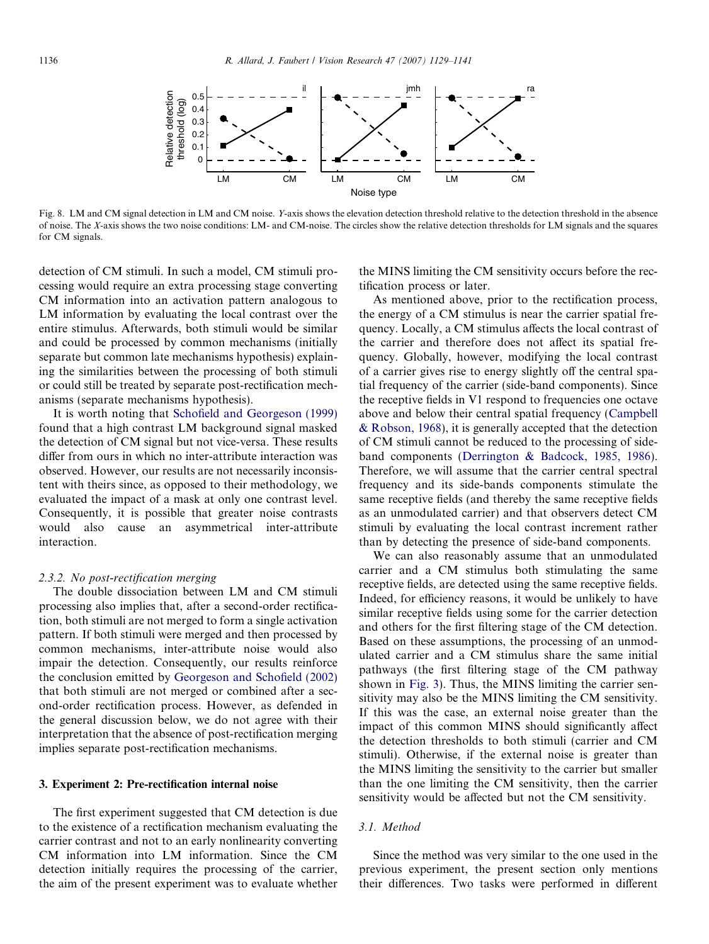<span id="page-7-0"></span>

Fig. 8. LM and CM signal detection in LM and CM noise. Y-axis shows the elevation detection threshold relative to the detection threshold in the absence of noise. The X-axis shows the two noise conditions: LM- and CM-noise. The circles show the relative detection thresholds for LM signals and the squares for CM signals.

detection of CM stimuli. In such a model, CM stimuli processing would require an extra processing stage converting CM information into an activation pattern analogous to LM information by evaluating the local contrast over the entire stimulus. Afterwards, both stimuli would be similar and could be processed by common mechanisms (initially separate but common late mechanisms hypothesis) explaining the similarities between the processing of both stimuli or could still be treated by separate post-rectification mechanisms (separate mechanisms hypothesis).

It is worth noting that [Schofield and Georgeson \(1999\)](#page-11-0) found that a high contrast LM background signal masked the detection of CM signal but not vice-versa. These results differ from ours in which no inter-attribute interaction was observed. However, our results are not necessarily inconsistent with theirs since, as opposed to their methodology, we evaluated the impact of a mask at only one contrast level. Consequently, it is possible that greater noise contrasts would also cause an asymmetrical inter-attribute interaction.

#### 2.3.2. No post-rectification merging

The double dissociation between LM and CM stimuli processing also implies that, after a second-order rectification, both stimuli are not merged to form a single activation pattern. If both stimuli were merged and then processed by common mechanisms, inter-attribute noise would also impair the detection. Consequently, our results reinforce the conclusion emitted by [Georgeson and Schofield \(2002\)](#page-11-0) that both stimuli are not merged or combined after a second-order rectification process. However, as defended in the general discussion below, we do not agree with their interpretation that the absence of post-rectification merging implies separate post-rectification mechanisms.

## 3. Experiment 2: Pre-rectification internal noise

The first experiment suggested that CM detection is due to the existence of a rectification mechanism evaluating the carrier contrast and not to an early nonlinearity converting CM information into LM information. Since the CM detection initially requires the processing of the carrier, the aim of the present experiment was to evaluate whether the MINS limiting the CM sensitivity occurs before the rectification process or later.

As mentioned above, prior to the rectification process, the energy of a CM stimulus is near the carrier spatial frequency. Locally, a CM stimulus affects the local contrast of the carrier and therefore does not affect its spatial frequency. Globally, however, modifying the local contrast of a carrier gives rise to energy slightly off the central spatial frequency of the carrier (side-band components). Since the receptive fields in V1 respond to frequencies one octave above and below their central spatial frequency ([Campbell](#page-11-0) [& Robson, 1968\)](#page-11-0), it is generally accepted that the detection of CM stimuli cannot be reduced to the processing of sideband components [\(Derrington & Badcock, 1985, 1986\)](#page-11-0). Therefore, we will assume that the carrier central spectral frequency and its side-bands components stimulate the same receptive fields (and thereby the same receptive fields as an unmodulated carrier) and that observers detect CM stimuli by evaluating the local contrast increment rather than by detecting the presence of side-band components.

We can also reasonably assume that an unmodulated carrier and a CM stimulus both stimulating the same receptive fields, are detected using the same receptive fields. Indeed, for efficiency reasons, it would be unlikely to have similar receptive fields using some for the carrier detection and others for the first filtering stage of the CM detection. Based on these assumptions, the processing of an unmodulated carrier and a CM stimulus share the same initial pathways (the first filtering stage of the CM pathway shown in [Fig. 3\)](#page-2-0). Thus, the MINS limiting the carrier sensitivity may also be the MINS limiting the CM sensitivity. If this was the case, an external noise greater than the impact of this common MINS should significantly affect the detection thresholds to both stimuli (carrier and CM stimuli). Otherwise, if the external noise is greater than the MINS limiting the sensitivity to the carrier but smaller than the one limiting the CM sensitivity, then the carrier sensitivity would be affected but not the CM sensitivity.

# 3.1. Method

Since the method was very similar to the one used in the previous experiment, the present section only mentions their differences. Two tasks were performed in different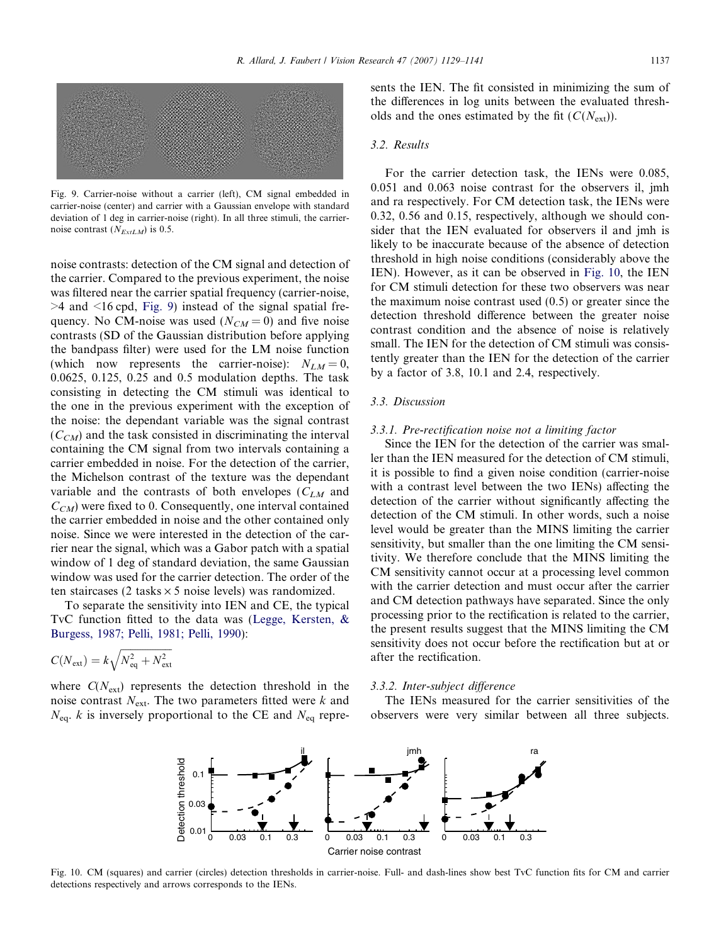

Fig. 9. Carrier-noise without a carrier (left), CM signal embedded in carrier-noise (center) and carrier with a Gaussian envelope with standard deviation of 1 deg in carrier-noise (right). In all three stimuli, the carriernoise contrast  $(N_{ExLM})$  is 0.5.

noise contrasts: detection of the CM signal and detection of the carrier. Compared to the previous experiment, the noise was filtered near the carrier spatial frequency (carrier-noise, >4 and <16 cpd, Fig. 9) instead of the signal spatial frequency. No CM-noise was used  $(N_{CM} = 0)$  and five noise contrasts (SD of the Gaussian distribution before applying the bandpass filter) were used for the LM noise function (which now represents the carrier-noise):  $N_{LM} = 0$ , 0.0625, 0.125, 0.25 and 0.5 modulation depths. The task consisting in detecting the CM stimuli was identical to the one in the previous experiment with the exception of the noise: the dependant variable was the signal contrast  $(C_{CM})$  and the task consisted in discriminating the interval containing the CM signal from two intervals containing a carrier embedded in noise. For the detection of the carrier, the Michelson contrast of the texture was the dependant variable and the contrasts of both envelopes  $(C_{LM}$  and  $C_{CM}$ ) were fixed to 0. Consequently, one interval contained the carrier embedded in noise and the other contained only noise. Since we were interested in the detection of the carrier near the signal, which was a Gabor patch with a spatial window of 1 deg of standard deviation, the same Gaussian window was used for the carrier detection. The order of the ten staircases (2 tasks  $\times$  5 noise levels) was randomized.

To separate the sensitivity into IEN and CE, the typical TvC function fitted to the data was [\(Legge, Kersten, &](#page-11-0) [Burgess, 1987; Pelli, 1981; Pelli, 1990\)](#page-11-0):

$$
C(N_{\rm ext})=k\sqrt{N_{\rm eq}^2+N_{\rm ext}^2}
$$

where  $C(N_{\rm ext})$  represents the detection threshold in the noise contrast  $N_{ext}$ . The two parameters fitted were k and  $N_{\text{eq}}$ . k is inversely proportional to the CE and  $N_{\text{eq}}$  represents the IEN. The fit consisted in minimizing the sum of the differences in log units between the evaluated thresholds and the ones estimated by the fit  $(C(N_{\rm ext}))$ .

## 3.2. Results

For the carrier detection task, the IENs were 0.085, 0.051 and 0.063 noise contrast for the observers il, jmh and ra respectively. For CM detection task, the IENs were 0.32, 0.56 and 0.15, respectively, although we should consider that the IEN evaluated for observers il and jmh is likely to be inaccurate because of the absence of detection threshold in high noise conditions (considerably above the IEN). However, as it can be observed in Fig. 10, the IEN for CM stimuli detection for these two observers was near the maximum noise contrast used (0.5) or greater since the detection threshold difference between the greater noise contrast condition and the absence of noise is relatively small. The IEN for the detection of CM stimuli was consistently greater than the IEN for the detection of the carrier by a factor of 3.8, 10.1 and 2.4, respectively.

### 3.3. Discussion

#### 3.3.1. Pre-rectification noise not a limiting factor

Since the IEN for the detection of the carrier was smaller than the IEN measured for the detection of CM stimuli, it is possible to find a given noise condition (carrier-noise with a contrast level between the two IENs) affecting the detection of the carrier without significantly affecting the detection of the CM stimuli. In other words, such a noise level would be greater than the MINS limiting the carrier sensitivity, but smaller than the one limiting the CM sensitivity. We therefore conclude that the MINS limiting the CM sensitivity cannot occur at a processing level common with the carrier detection and must occur after the carrier and CM detection pathways have separated. Since the only processing prior to the rectification is related to the carrier, the present results suggest that the MINS limiting the CM sensitivity does not occur before the rectification but at or after the rectification.

#### 3.3.2. Inter-subject difference

The IENs measured for the carrier sensitivities of the observers were very similar between all three subjects.



Fig. 10. CM (squares) and carrier (circles) detection thresholds in carrier-noise. Full- and dash-lines show best TvC function fits for CM and carrier detections respectively and arrows corresponds to the IENs.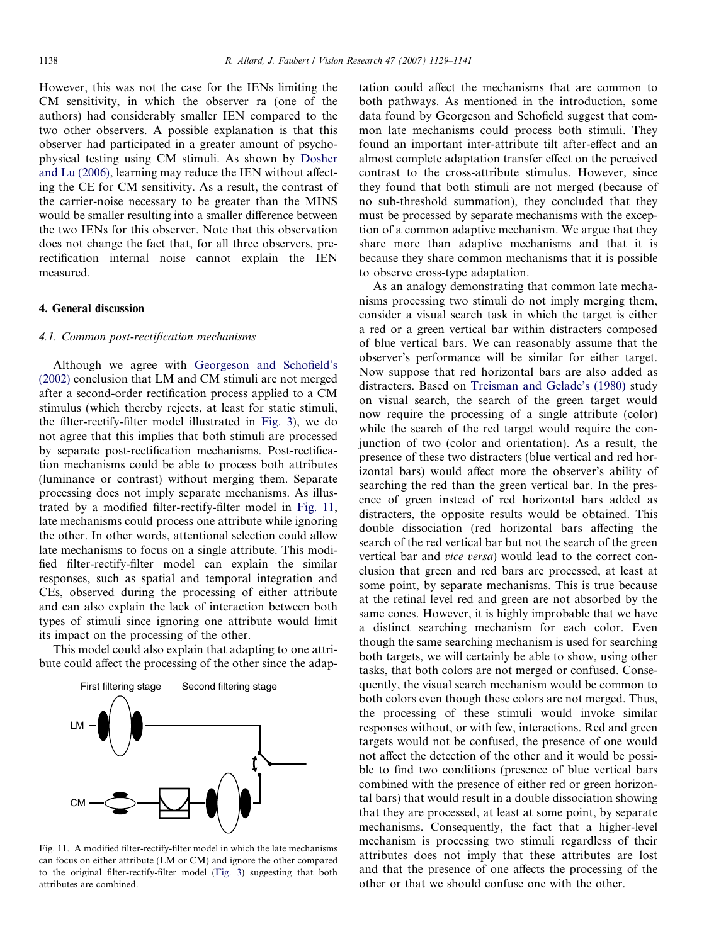However, this was not the case for the IENs limiting the CM sensitivity, in which the observer ra (one of the authors) had considerably smaller IEN compared to the two other observers. A possible explanation is that this observer had participated in a greater amount of psychophysical testing using CM stimuli. As shown by [Dosher](#page-11-0) [and Lu \(2006\)](#page-11-0), learning may reduce the IEN without affecting the CE for CM sensitivity. As a result, the contrast of the carrier-noise necessary to be greater than the MINS would be smaller resulting into a smaller difference between the two IENs for this observer. Note that this observation does not change the fact that, for all three observers, prerectification internal noise cannot explain the IEN measured.

### 4. General discussion

## 4.1. Common post-rectification mechanisms

Although we agree with [Georgeson and Schofield's](#page-11-0) [\(2002\)](#page-11-0) conclusion that LM and CM stimuli are not merged after a second-order rectification process applied to a CM stimulus (which thereby rejects, at least for static stimuli, the filter-rectify-filter model illustrated in [Fig. 3\)](#page-2-0), we do not agree that this implies that both stimuli are processed by separate post-rectification mechanisms. Post-rectification mechanisms could be able to process both attributes (luminance or contrast) without merging them. Separate processing does not imply separate mechanisms. As illustrated by a modified filter-rectify-filter model in Fig. 11, late mechanisms could process one attribute while ignoring the other. In other words, attentional selection could allow late mechanisms to focus on a single attribute. This modified filter-rectify-filter model can explain the similar responses, such as spatial and temporal integration and CEs, observed during the processing of either attribute and can also explain the lack of interaction between both types of stimuli since ignoring one attribute would limit its impact on the processing of the other.

This model could also explain that adapting to one attribute could affect the processing of the other since the adap-



Fig. 11. A modified filter-rectify-filter model in which the late mechanisms can focus on either attribute (LM or CM) and ignore the other compared to the original filter-rectify-filter model ([Fig. 3\)](#page-2-0) suggesting that both attributes are combined.

tation could affect the mechanisms that are common to both pathways. As mentioned in the introduction, some data found by Georgeson and Schofield suggest that common late mechanisms could process both stimuli. They found an important inter-attribute tilt after-effect and an almost complete adaptation transfer effect on the perceived contrast to the cross-attribute stimulus. However, since they found that both stimuli are not merged (because of no sub-threshold summation), they concluded that they must be processed by separate mechanisms with the exception of a common adaptive mechanism. We argue that they share more than adaptive mechanisms and that it is because they share common mechanisms that it is possible to observe cross-type adaptation.

As an analogy demonstrating that common late mechanisms processing two stimuli do not imply merging them, consider a visual search task in which the target is either a red or a green vertical bar within distracters composed of blue vertical bars. We can reasonably assume that the observer's performance will be similar for either target. Now suppose that red horizontal bars are also added as distracters. Based on [Treisman and Gelade's \(1980\)](#page-12-0) study on visual search, the search of the green target would now require the processing of a single attribute (color) while the search of the red target would require the conjunction of two (color and orientation). As a result, the presence of these two distracters (blue vertical and red horizontal bars) would affect more the observer's ability of searching the red than the green vertical bar. In the presence of green instead of red horizontal bars added as distracters, the opposite results would be obtained. This double dissociation (red horizontal bars affecting the search of the red vertical bar but not the search of the green vertical bar and vice versa) would lead to the correct conclusion that green and red bars are processed, at least at some point, by separate mechanisms. This is true because at the retinal level red and green are not absorbed by the same cones. However, it is highly improbable that we have a distinct searching mechanism for each color. Even though the same searching mechanism is used for searching both targets, we will certainly be able to show, using other tasks, that both colors are not merged or confused. Consequently, the visual search mechanism would be common to both colors even though these colors are not merged. Thus, the processing of these stimuli would invoke similar responses without, or with few, interactions. Red and green targets would not be confused, the presence of one would not affect the detection of the other and it would be possible to find two conditions (presence of blue vertical bars combined with the presence of either red or green horizontal bars) that would result in a double dissociation showing that they are processed, at least at some point, by separate mechanisms. Consequently, the fact that a higher-level mechanism is processing two stimuli regardless of their attributes does not imply that these attributes are lost and that the presence of one affects the processing of the other or that we should confuse one with the other.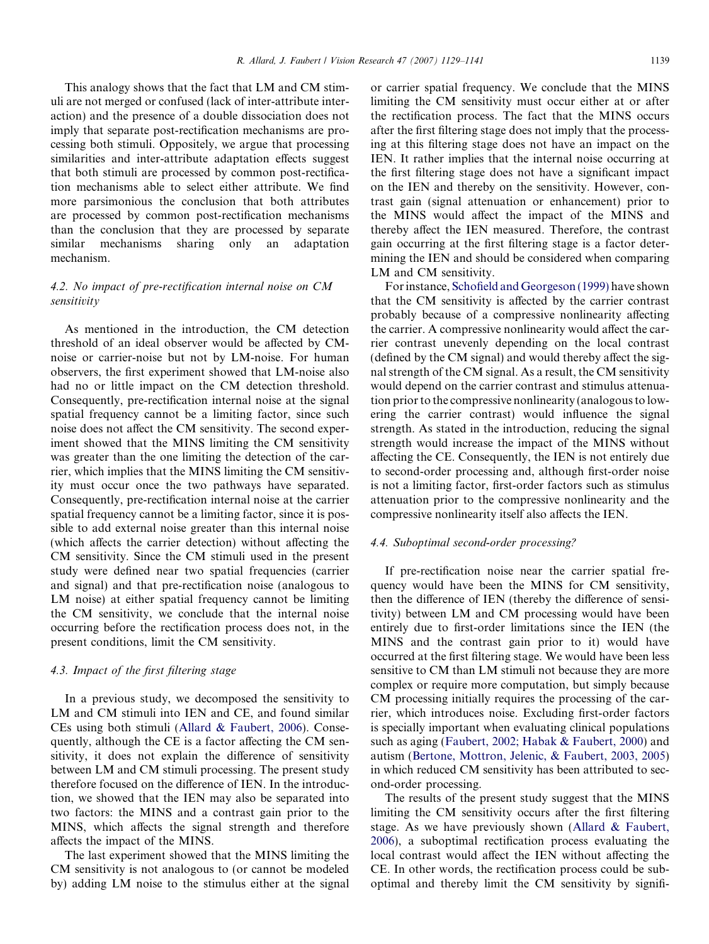This analogy shows that the fact that LM and CM stimuli are not merged or confused (lack of inter-attribute interaction) and the presence of a double dissociation does not imply that separate post-rectification mechanisms are processing both stimuli. Oppositely, we argue that processing similarities and inter-attribute adaptation effects suggest that both stimuli are processed by common post-rectification mechanisms able to select either attribute. We find more parsimonious the conclusion that both attributes are processed by common post-rectification mechanisms than the conclusion that they are processed by separate similar mechanisms sharing only an adaptation mechanism.

# 4.2. No impact of pre-rectification internal noise on CM sensitivity

As mentioned in the introduction, the CM detection threshold of an ideal observer would be affected by CMnoise or carrier-noise but not by LM-noise. For human observers, the first experiment showed that LM-noise also had no or little impact on the CM detection threshold. Consequently, pre-rectification internal noise at the signal spatial frequency cannot be a limiting factor, since such noise does not affect the CM sensitivity. The second experiment showed that the MINS limiting the CM sensitivity was greater than the one limiting the detection of the carrier, which implies that the MINS limiting the CM sensitivity must occur once the two pathways have separated. Consequently, pre-rectification internal noise at the carrier spatial frequency cannot be a limiting factor, since it is possible to add external noise greater than this internal noise (which affects the carrier detection) without affecting the CM sensitivity. Since the CM stimuli used in the present study were defined near two spatial frequencies (carrier and signal) and that pre-rectification noise (analogous to LM noise) at either spatial frequency cannot be limiting the CM sensitivity, we conclude that the internal noise occurring before the rectification process does not, in the present conditions, limit the CM sensitivity.

# 4.3. Impact of the first filtering stage

In a previous study, we decomposed the sensitivity to LM and CM stimuli into IEN and CE, and found similar CEs using both stimuli [\(Allard & Faubert, 2006\)](#page-11-0). Consequently, although the CE is a factor affecting the CM sensitivity, it does not explain the difference of sensitivity between LM and CM stimuli processing. The present study therefore focused on the difference of IEN. In the introduction, we showed that the IEN may also be separated into two factors: the MINS and a contrast gain prior to the MINS, which affects the signal strength and therefore affects the impact of the MINS.

The last experiment showed that the MINS limiting the CM sensitivity is not analogous to (or cannot be modeled by) adding LM noise to the stimulus either at the signal or carrier spatial frequency. We conclude that the MINS limiting the CM sensitivity must occur either at or after the rectification process. The fact that the MINS occurs after the first filtering stage does not imply that the processing at this filtering stage does not have an impact on the IEN. It rather implies that the internal noise occurring at the first filtering stage does not have a significant impact on the IEN and thereby on the sensitivity. However, contrast gain (signal attenuation or enhancement) prior to the MINS would affect the impact of the MINS and thereby affect the IEN measured. Therefore, the contrast gain occurring at the first filtering stage is a factor determining the IEN and should be considered when comparing LM and CM sensitivity.

For instance, [Schofield and Georgeson \(1999\)](#page-11-0) have shown that the CM sensitivity is affected by the carrier contrast probably because of a compressive nonlinearity affecting the carrier. A compressive nonlinearity would affect the carrier contrast unevenly depending on the local contrast (defined by the CM signal) and would thereby affect the signal strength of the CM signal. As a result, the CM sensitivity would depend on the carrier contrast and stimulus attenuation prior to the compressive nonlinearity (analogous to lowering the carrier contrast) would influence the signal strength. As stated in the introduction, reducing the signal strength would increase the impact of the MINS without affecting the CE. Consequently, the IEN is not entirely due to second-order processing and, although first-order noise is not a limiting factor, first-order factors such as stimulus attenuation prior to the compressive nonlinearity and the compressive nonlinearity itself also affects the IEN.

# 4.4. Suboptimal second-order processing?

If pre-rectification noise near the carrier spatial frequency would have been the MINS for CM sensitivity, then the difference of IEN (thereby the difference of sensitivity) between LM and CM processing would have been entirely due to first-order limitations since the IEN (the MINS and the contrast gain prior to it) would have occurred at the first filtering stage. We would have been less sensitive to CM than LM stimuli not because they are more complex or require more computation, but simply because CM processing initially requires the processing of the carrier, which introduces noise. Excluding first-order factors is specially important when evaluating clinical populations such as aging [\(Faubert, 2002; Habak & Faubert, 2000\)](#page-11-0) and autism ([Bertone, Mottron, Jelenic, & Faubert, 2003, 2005](#page-11-0)) in which reduced CM sensitivity has been attributed to second-order processing.

The results of the present study suggest that the MINS limiting the CM sensitivity occurs after the first filtering stage. As we have previously shown [\(Allard & Faubert,](#page-11-0) [2006](#page-11-0)), a suboptimal rectification process evaluating the local contrast would affect the IEN without affecting the CE. In other words, the rectification process could be suboptimal and thereby limit the CM sensitivity by signifi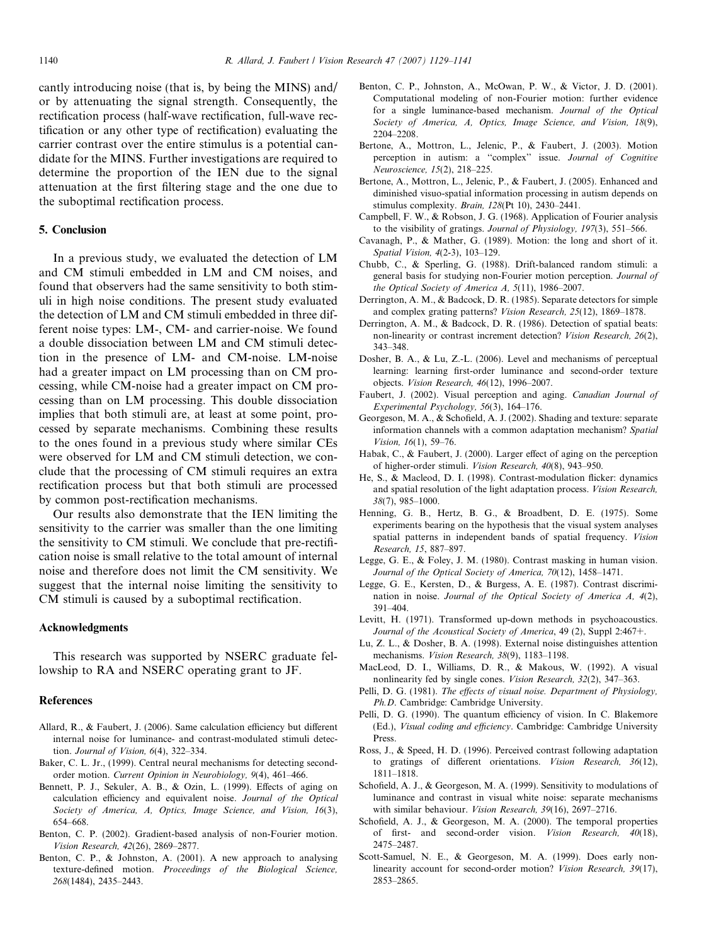<span id="page-11-0"></span>cantly introducing noise (that is, by being the MINS) and/ or by attenuating the signal strength. Consequently, the rectification process (half-wave rectification, full-wave rectification or any other type of rectification) evaluating the carrier contrast over the entire stimulus is a potential candidate for the MINS. Further investigations are required to determine the proportion of the IEN due to the signal attenuation at the first filtering stage and the one due to the suboptimal rectification process.

# 5. Conclusion

In a previous study, we evaluated the detection of LM and CM stimuli embedded in LM and CM noises, and found that observers had the same sensitivity to both stimuli in high noise conditions. The present study evaluated the detection of LM and CM stimuli embedded in three different noise types: LM-, CM- and carrier-noise. We found a double dissociation between LM and CM stimuli detection in the presence of LM- and CM-noise. LM-noise had a greater impact on LM processing than on CM processing, while CM-noise had a greater impact on CM processing than on LM processing. This double dissociation implies that both stimuli are, at least at some point, processed by separate mechanisms. Combining these results to the ones found in a previous study where similar CEs were observed for LM and CM stimuli detection, we conclude that the processing of CM stimuli requires an extra rectification process but that both stimuli are processed by common post-rectification mechanisms.

Our results also demonstrate that the IEN limiting the sensitivity to the carrier was smaller than the one limiting the sensitivity to CM stimuli. We conclude that pre-rectification noise is small relative to the total amount of internal noise and therefore does not limit the CM sensitivity. We suggest that the internal noise limiting the sensitivity to CM stimuli is caused by a suboptimal rectification.

# Acknowledgments

This research was supported by NSERC graduate fellowship to RA and NSERC operating grant to JF.

#### References

- Allard, R., & Faubert, J. (2006). Same calculation efficiency but different internal noise for luminance- and contrast-modulated stimuli detection. Journal of Vision, 6(4), 322–334.
- Baker, C. L. Jr., (1999). Central neural mechanisms for detecting secondorder motion. Current Opinion in Neurobiology, 9(4), 461–466.
- Bennett, P. J., Sekuler, A. B., & Ozin, L. (1999). Effects of aging on calculation efficiency and equivalent noise. Journal of the Optical Society of America, A, Optics, Image Science, and Vision, 16(3), 654–668.
- Benton, C. P. (2002). Gradient-based analysis of non-Fourier motion. Vision Research, 42(26), 2869–2877.
- Benton, C. P., & Johnston, A. (2001). A new approach to analysing texture-defined motion. Proceedings of the Biological Science, 268(1484), 2435–2443.
- Benton, C. P., Johnston, A., McOwan, P. W., & Victor, J. D. (2001). Computational modeling of non-Fourier motion: further evidence for a single luminance-based mechanism. Journal of the Optical Society of America, A, Optics, Image Science, and Vision, 18(9), 2204–2208.
- Bertone, A., Mottron, L., Jelenic, P., & Faubert, J. (2003). Motion perception in autism: a ''complex'' issue. Journal of Cognitive Neuroscience, 15(2), 218–225.
- Bertone, A., Mottron, L., Jelenic, P., & Faubert, J. (2005). Enhanced and diminished visuo-spatial information processing in autism depends on stimulus complexity. Brain, 128(Pt 10), 2430–2441.
- Campbell, F. W., & Robson, J. G. (1968). Application of Fourier analysis to the visibility of gratings. Journal of Physiology, 197(3), 551–566.
- Cavanagh, P., & Mather, G. (1989). Motion: the long and short of it. Spatial Vision, 4(2-3), 103–129.
- Chubb, C., & Sperling, G. (1988). Drift-balanced random stimuli: a general basis for studying non-Fourier motion perception. Journal of the Optical Society of America A, 5(11), 1986–2007.
- Derrington, A. M., & Badcock, D. R. (1985). Separate detectors for simple and complex grating patterns? Vision Research, 25(12), 1869–1878.
- Derrington, A. M., & Badcock, D. R. (1986). Detection of spatial beats: non-linearity or contrast increment detection? Vision Research, 26(2), 343–348.
- Dosher, B. A., & Lu, Z.-L. (2006). Level and mechanisms of perceptual learning: learning first-order luminance and second-order texture objects. Vision Research, 46(12), 1996–2007.
- Faubert, J. (2002). Visual perception and aging. Canadian Journal of Experimental Psychology, 56(3), 164–176.
- Georgeson, M. A., & Schofield, A. J. (2002). Shading and texture: separate information channels with a common adaptation mechanism? Spatial Vision, 16(1), 59–76.
- Habak, C., & Faubert, J. (2000). Larger effect of aging on the perception of higher-order stimuli. Vision Research, 40(8), 943–950.
- He, S., & Macleod, D. I. (1998). Contrast-modulation flicker: dynamics and spatial resolution of the light adaptation process. Vision Research, 38(7), 985–1000.
- Henning, G. B., Hertz, B. G., & Broadbent, D. E. (1975). Some experiments bearing on the hypothesis that the visual system analyses spatial patterns in independent bands of spatial frequency. Vision Research, 15, 887–897.
- Legge, G. E., & Foley, J. M. (1980). Contrast masking in human vision. Journal of the Optical Society of America, 70(12), 1458–1471.
- Legge, G. E., Kersten, D., & Burgess, A. E. (1987). Contrast discrimination in noise. Journal of the Optical Society of America A, 4(2), 391–404.
- Levitt, H. (1971). Transformed up-down methods in psychoacoustics. Journal of the Acoustical Society of America, 49 (2), Suppl 2:467+.
- Lu, Z. L., & Dosher, B. A. (1998). External noise distinguishes attention mechanisms. Vision Research, 38(9), 1183–1198.
- MacLeod, D. I., Williams, D. R., & Makous, W. (1992). A visual nonlinearity fed by single cones. Vision Research, 32(2), 347–363.
- Pelli, D. G. (1981). The effects of visual noise. Department of Physiology, Ph.D. Cambridge: Cambridge University.
- Pelli, D. G. (1990). The quantum efficiency of vision. In C. Blakemore (Ed.), Visual coding and efficiency. Cambridge: Cambridge University Press.
- Ross, J., & Speed, H. D. (1996). Perceived contrast following adaptation to gratings of different orientations. Vision Research, 36(12), 1811–1818.
- Schofield, A. J., & Georgeson, M. A. (1999). Sensitivity to modulations of luminance and contrast in visual white noise: separate mechanisms with similar behaviour. Vision Research, 39(16), 2697–2716.
- Schofield, A. J., & Georgeson, M. A. (2000). The temporal properties of first- and second-order vision. Vision Research, 40(18), 2475–2487.
- Scott-Samuel, N. E., & Georgeson, M. A. (1999). Does early nonlinearity account for second-order motion? Vision Research, 39(17), 2853–2865.